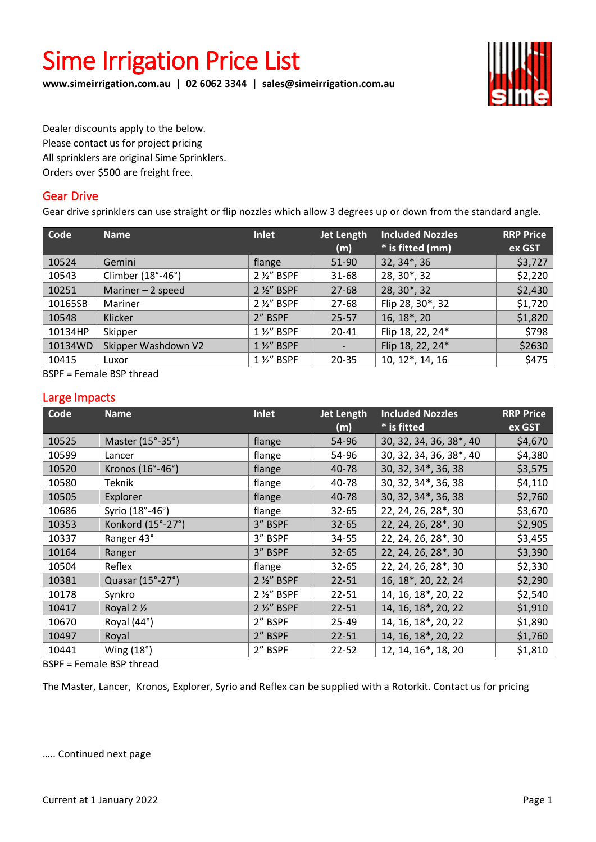# Sime Irrigation Price List

**[www.simeirrigation.com.au](http://www.simeirrigation.com.au/) | 02 6062 3344 | sales@simeirrigation.com.au**



Dealer discounts apply to the below. Please contact us for project pricing All sprinklers are original Sime Sprinklers. Orders over \$500 are freight free.

#### Gear Drive

Gear drive sprinklers can use straight or flip nozzles which allow 3 degrees up or down from the standard angle.

| Code    | <b>Name</b>         | Inlet               | Jet Length<br>(m)        | <b>Included Nozzles</b><br>* is fitted (mm) | <b>RRP Price</b><br>ex GST |
|---------|---------------------|---------------------|--------------------------|---------------------------------------------|----------------------------|
| 10524   | Gemini              | flange              | 51-90                    | $32, 34$ <sup>*</sup> , 36                  | \$3,727                    |
| 10543   | Climber (18°-46°)   | 2 1/2" BSPF         | $31 - 68$                | 28, 30*, 32                                 | \$2,220                    |
| 10251   | Mariner $-2$ speed  | 2 1/2" BSPF         | $27 - 68$                | 28, 30*, 32                                 | \$2,430                    |
| 10165SB | Mariner             | 2 1/2" BSPF         | 27-68                    | Flip 28, 30*, 32                            | \$1,720                    |
| 10548   | Klicker             | 2" BSPF             | $25 - 57$                | $16, 18^*$ , 20                             | \$1,820                    |
| 10134HP | Skipper             | 1 1/2" BSPF         | $20 - 41$                | Flip 18, 22, 24*                            | \$798                      |
| 10134WD | Skipper Washdown V2 | 1 1/2" BSPF         | $\overline{\phantom{a}}$ | Flip 18, 22, 24*                            | \$2630                     |
| 10415   | Luxor               | $1\frac{1}{2}$ BSPF | $20 - 35$                | 10, 12*, 14, 16                             | \$475                      |

BSPF = Female BSP thread

#### Large Impacts

| Code <sup>'</sup> | <b>Name</b>       | <b>Inlet</b> | Jet Length | <b>Included Nozzles</b> | <b>RRP Price</b> |
|-------------------|-------------------|--------------|------------|-------------------------|------------------|
|                   |                   |              | (m)        | * is fitted             | ex GST           |
| 10525             | Master (15°-35°)  | flange       | 54-96      | 30, 32, 34, 36, 38*, 40 | \$4,670          |
| 10599             | Lancer            | flange       | 54-96      | 30, 32, 34, 36, 38*, 40 | \$4,380          |
| 10520             | Kronos (16°-46°)  | flange       | 40-78      | 30, 32, 34*, 36, 38     | \$3,575          |
| 10580             | Teknik            | flange       | 40-78      | 30, 32, 34*, 36, 38     | \$4,110          |
| 10505             | Explorer          | flange       | 40-78      | 30, 32, 34*, 36, 38     | \$2,760          |
| 10686             | Syrio (18°-46°)   | flange       | $32 - 65$  | 22, 24, 26, 28*, 30     | \$3,670          |
| 10353             | Konkord (15°-27°) | 3" BSPF      | $32 - 65$  | 22, 24, 26, 28*, 30     | \$2,905          |
| 10337             | Ranger 43°        | 3" BSPF      | 34-55      | 22, 24, 26, 28*, 30     | \$3,455          |
| 10164             | Ranger            | 3" BSPF      | $32 - 65$  | 22, 24, 26, 28*, 30     | \$3,390          |
| 10504             | Reflex            | flange       | $32 - 65$  | 22, 24, 26, 28*, 30     | \$2,330          |
| 10381             | Quasar (15°-27°)  | 2 1/2" BSPF  | $22 - 51$  | 16, 18*, 20, 22, 24     | \$2,290          |
| 10178             | Synkro            | 2 1/2" BSPF  | $22 - 51$  | 14, 16, 18*, 20, 22     | \$2,540          |
| 10417             | Royal 2 1/2       | 2 %" BSPF    | $22 - 51$  | 14, 16, 18*, 20, 22     | \$1,910          |
| 10670             | Royal (44°)       | 2" BSPF      | 25-49      | 14, 16, 18*, 20, 22     | \$1,890          |
| 10497             | Royal             | 2" BSPF      | $22 - 51$  | 14, 16, 18*, 20, 22     | \$1,760          |
| 10441             | Wing $(18°)$      | 2" BSPF      | $22 - 52$  | 12, 14, 16*, 18, 20     | \$1,810          |

BSPF = Female BSP thread

The Master, Lancer, Kronos, Explorer, Syrio and Reflex can be supplied with a Rotorkit. Contact us for pricing

….. Continued next page